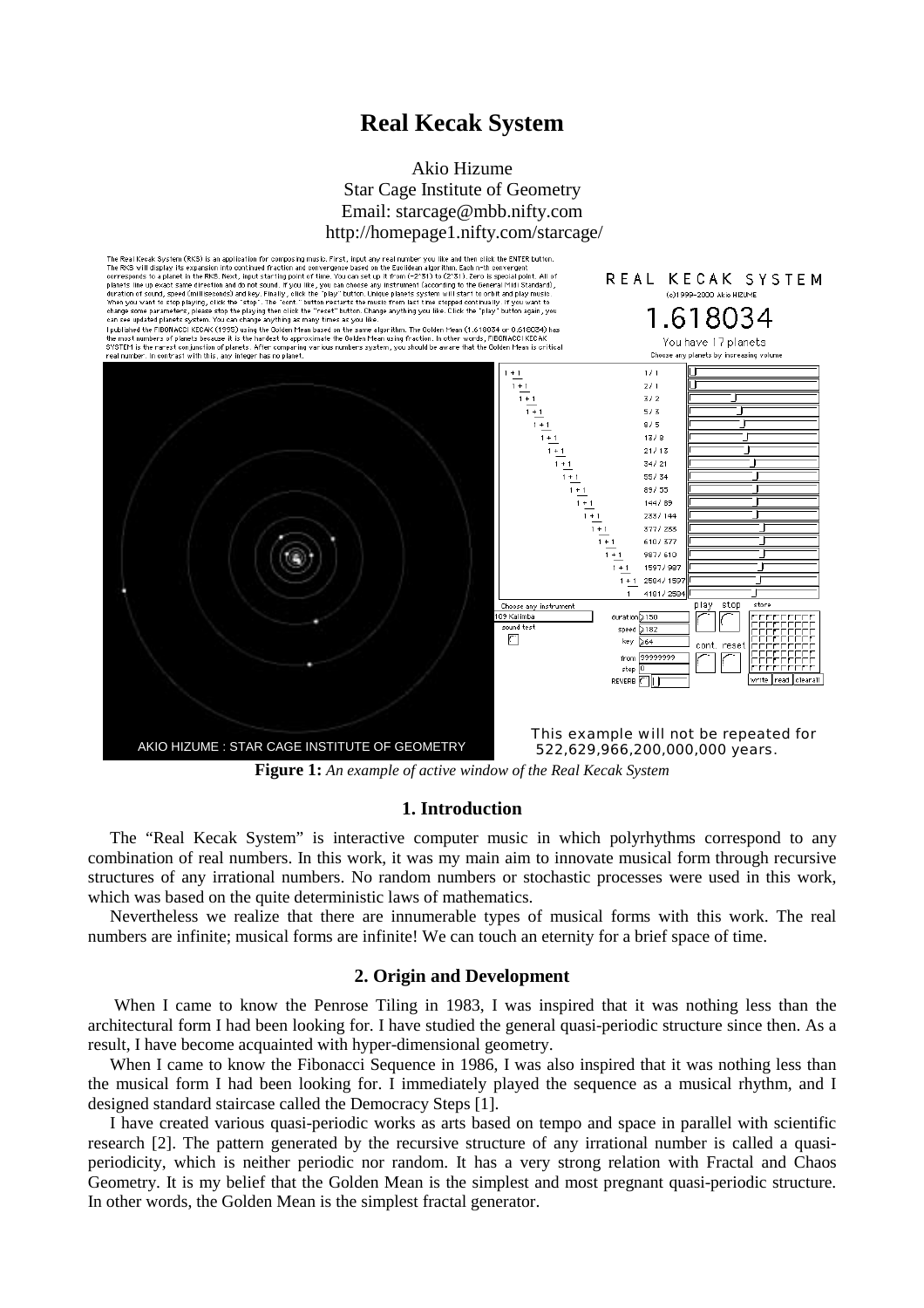# **Real Kecak System**

# Akio Hizume Star Cage Institute of Geometry Email: starcage@mbb.nifty.com http://homepage1.nifty.com/starcage/



**Figure 1:** *An example of active window of the Real Kecak System* 

### **1. Introduction**

The "Real Kecak System" is interactive computer music in which polyrhythms correspond to any combination of real numbers. In this work, it was my main aim to innovate musical form through recursive structures of any irrational numbers. No random numbers or stochastic processes were used in this work, which was based on the quite deterministic laws of mathematics.

Nevertheless we realize that there are innumerable types of musical forms with this work. The real numbers are infinite; musical forms are infinite! We can touch an eternity for a brief space of time.

### **2. Origin and Development**

When I came to know the Penrose Tiling in 1983, I was inspired that it was nothing less than the architectural form I had been looking for. I have studied the general quasi-periodic structure since then. As a result, I have become acquainted with hyper-dimensional geometry.

When I came to know the Fibonacci Sequence in 1986, I was also inspired that it was nothing less than the musical form I had been looking for. I immediately played the sequence as a musical rhythm, and I designed standard staircase called the Democracy Steps [1].

I have created various quasi-periodic works as arts based on tempo and space in parallel with scientific research [2]. The pattern generated by the recursive structure of any irrational number is called a quasiperiodicity, which is neither periodic nor random. It has a very strong relation with Fractal and Chaos Geometry. It is my belief that the Golden Mean is the simplest and most pregnant quasi-periodic structure. In other words, the Golden Mean is the simplest fractal generator.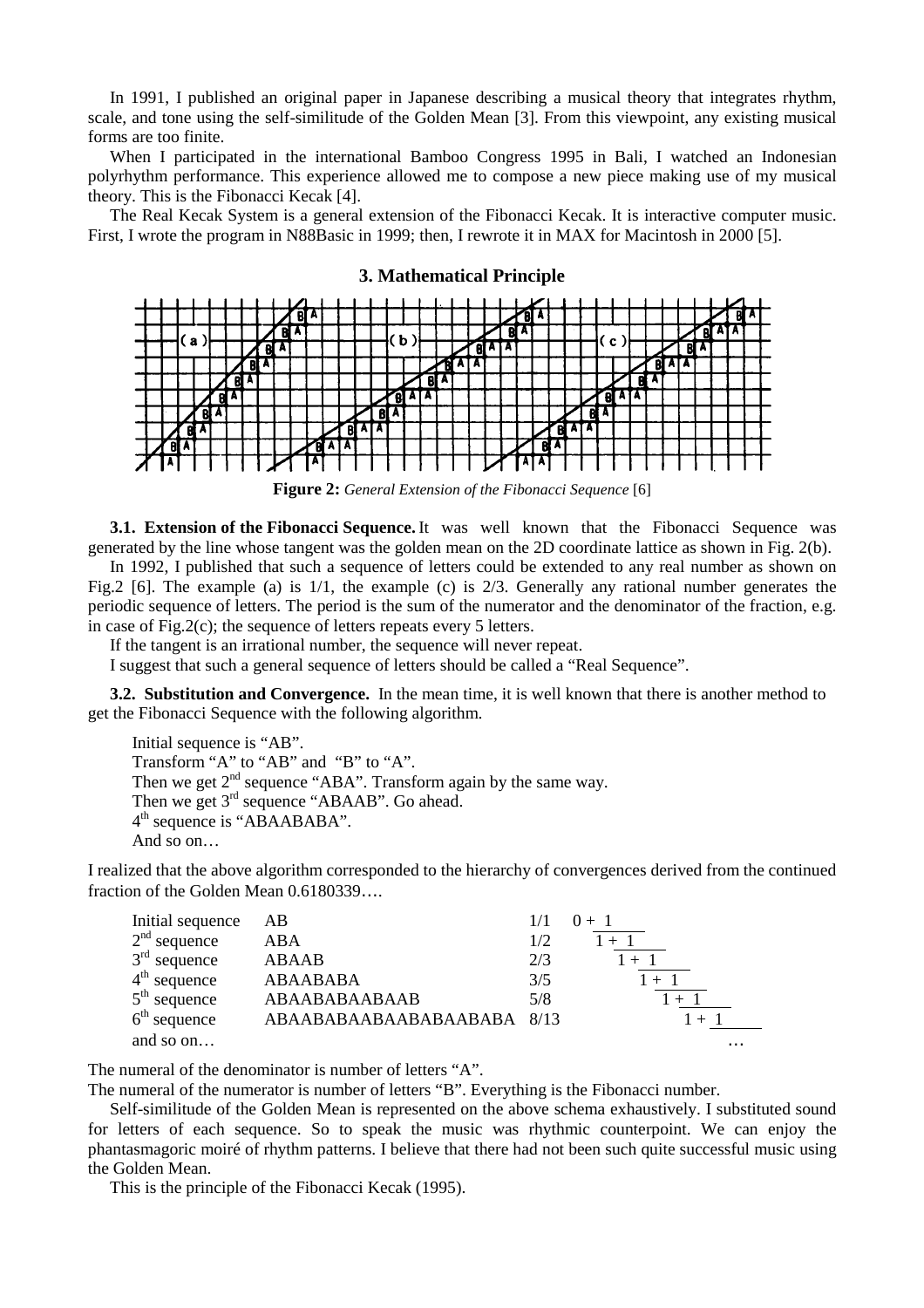In 1991, I published an original paper in Japanese describing a musical theory that integrates rhythm, scale, and tone using the self-similitude of the Golden Mean [3]. From this viewpoint, any existing musical forms are too finite.

When I participated in the international Bamboo Congress 1995 in Bali, I watched an Indonesian polyrhythm performance. This experience allowed me to compose a new piece making use of my musical theory. This is the Fibonacci Kecak [4].

The Real Kecak System is a general extension of the Fibonacci Kecak. It is interactive computer music. First, I wrote the program in N88Basic in 1999; then, I rewrote it in MAX for Macintosh in 2000 [5].



#### **3. Mathematical Principle**

**Figure 2:** *General Extension of the Fibonacci Sequence* [6]

**3.1. Extension of the Fibonacci Sequence.** It was well known that the Fibonacci Sequence was generated by the line whose tangent was the golden mean on the 2D coordinate lattice as shown in Fig. 2(b).

In 1992, I published that such a sequence of letters could be extended to any real number as shown on Fig.2 [6]. The example (a) is 1/1, the example (c) is 2/3. Generally any rational number generates the periodic sequence of letters. The period is the sum of the numerator and the denominator of the fraction, e.g. in case of Fig.2(c); the sequence of letters repeats every 5 letters.

If the tangent is an irrational number, the sequence will never repeat.

I suggest that such a general sequence of letters should be called a "Real Sequence".

**3.2. Substitution and Convergence.** In the mean time, it is well known that there is another method to get the Fibonacci Sequence with the following algorithm.

Initial sequence is "AB". Transform "A" to "AB" and "B" to "A". Then we get  $2<sup>nd</sup>$  sequence "ABA". Transform again by the same way. Then we get  $3<sup>rd</sup>$  sequence "ABAAB". Go ahead. 4<sup>th</sup> sequence is "ABAABABA". And so on…

I realized that the above algorithm corresponded to the hierarchy of convergences derived from the continued fraction of the Golden Mean 0.6180339….

| Initial sequence | AВ                       |     | $0 + 1$  |
|------------------|--------------------------|-----|----------|
| $2nd$ sequence   | <b>ABA</b>               | 1/2 |          |
| $3rd$ sequence   | <b>ABAAB</b>             | 2/3 |          |
| $4th$ sequence   | <b>ABAABABA</b>          | 3/5 | $1 + 1$  |
| $5th$ sequence   | ABAABABAABAAB            | 5/8 |          |
| $6th$ sequence   | ABAABABAABAABAABABA 8/13 |     |          |
| and so on        |                          |     | $\cdots$ |

The numeral of the denominator is number of letters "A".

The numeral of the numerator is number of letters "B". Everything is the Fibonacci number.

Self-similitude of the Golden Mean is represented on the above schema exhaustively. I substituted sound for letters of each sequence. So to speak the music was rhythmic counterpoint. We can enjoy the phantasmagoric moiré of rhythm patterns. I believe that there had not been such quite successful music using the Golden Mean.

This is the principle of the Fibonacci Kecak (1995).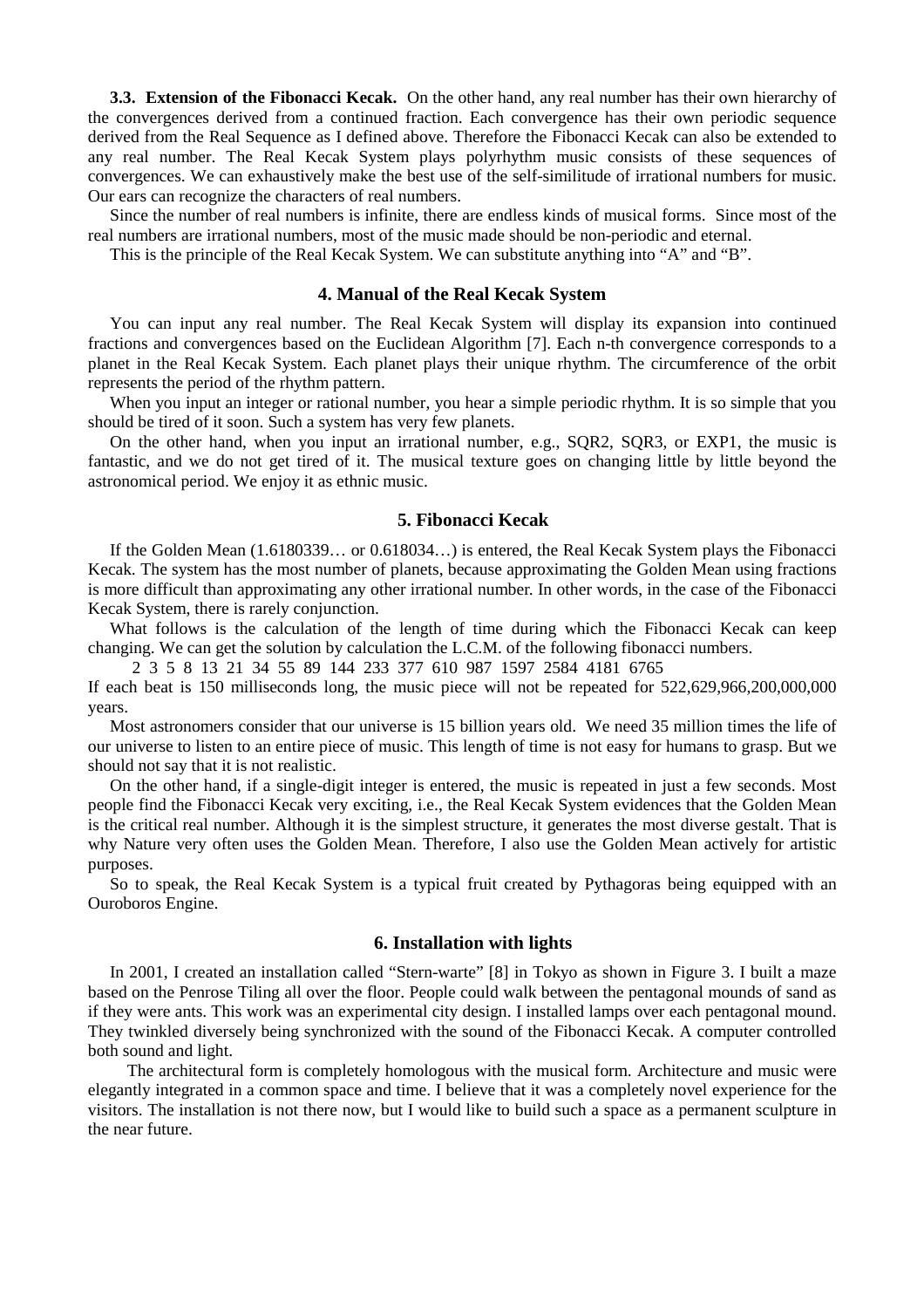**3.3. Extension of the Fibonacci Kecak.** On the other hand, any real number has their own hierarchy of the convergences derived from a continued fraction. Each convergence has their own periodic sequence derived from the Real Sequence as I defined above. Therefore the Fibonacci Kecak can also be extended to any real number. The Real Kecak System plays polyrhythm music consists of these sequences of convergences. We can exhaustively make the best use of the self-similitude of irrational numbers for music. Our ears can recognize the characters of real numbers.

Since the number of real numbers is infinite, there are endless kinds of musical forms. Since most of the real numbers are irrational numbers, most of the music made should be non-periodic and eternal.

This is the principle of the Real Kecak System. We can substitute anything into "A" and "B".

#### **4. Manual of the Real Kecak System**

You can input any real number. The Real Kecak System will display its expansion into continued fractions and convergences based on the Euclidean Algorithm [7]. Each n-th convergence corresponds to a planet in the Real Kecak System. Each planet plays their unique rhythm. The circumference of the orbit represents the period of the rhythm pattern.

When you input an integer or rational number, you hear a simple periodic rhythm. It is so simple that you should be tired of it soon. Such a system has very few planets.

On the other hand, when you input an irrational number, e.g., SQR2, SQR3, or EXP1, the music is fantastic, and we do not get tired of it. The musical texture goes on changing little by little beyond the astronomical period. We enjoy it as ethnic music.

#### **5. Fibonacci Kecak**

If the Golden Mean (1.6180339… or 0.618034…) is entered, the Real Kecak System plays the Fibonacci Kecak. The system has the most number of planets, because approximating the Golden Mean using fractions is more difficult than approximating any other irrational number. In other words, in the case of the Fibonacci Kecak System, there is rarely conjunction.

What follows is the calculation of the length of time during which the Fibonacci Kecak can keep changing. We can get the solution by calculation the L.C.M. of the following fibonacci numbers.

2 3 5 8 13 21 34 55 89 144 233 377 610 987 1597 2584 4181 6765

If each beat is 150 milliseconds long, the music piece will not be repeated for 522,629,966,200,000,000 years.

Most astronomers consider that our universe is 15 billion years old. We need 35 million times the life of our universe to listen to an entire piece of music. This length of time is not easy for humans to grasp. But we should not say that it is not realistic.

On the other hand, if a single-digit integer is entered, the music is repeated in just a few seconds. Most people find the Fibonacci Kecak very exciting, i.e., the Real Kecak System evidences that the Golden Mean is the critical real number. Although it is the simplest structure, it generates the most diverse gestalt. That is why Nature very often uses the Golden Mean. Therefore, I also use the Golden Mean actively for artistic purposes.

So to speak, the Real Kecak System is a typical fruit created by Pythagoras being equipped with an Ouroboros Engine.

#### **6. Installation with lights**

In 2001, I created an installation called "Stern-warte" [8] in Tokyo as shown in Figure 3. I built a maze based on the Penrose Tiling all over the floor. People could walk between the pentagonal mounds of sand as if they were ants. This work was an experimental city design. I installed lamps over each pentagonal mound. They twinkled diversely being synchronized with the sound of the Fibonacci Kecak. A computer controlled both sound and light.

The architectural form is completely homologous with the musical form. Architecture and music were elegantly integrated in a common space and time. I believe that it was a completely novel experience for the visitors. The installation is not there now, but I would like to build such a space as a permanent sculpture in the near future.